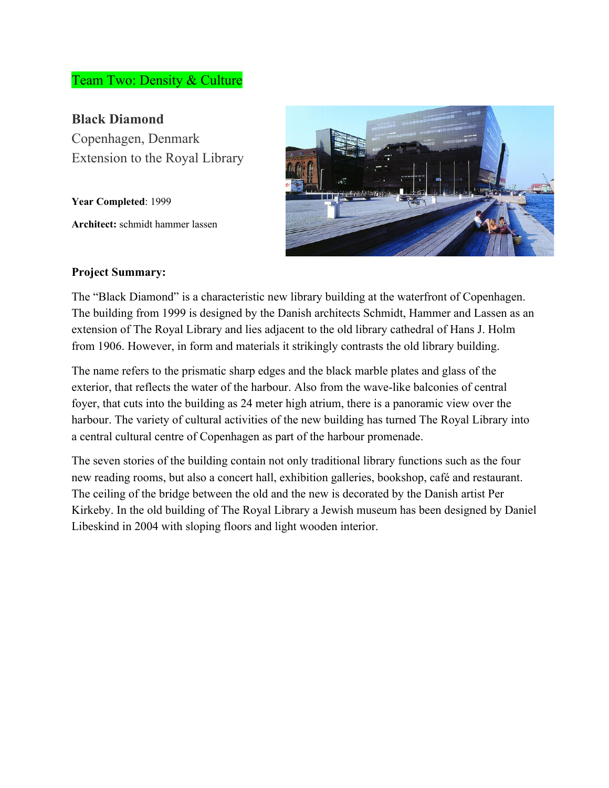## Team Two: Density & Culture

**Black Diamond** Copenhagen, Denmark Extension to the Royal Library

**Year Completed**: 1999 **Architect:** schmidt hammer lassen



#### **Project Summary:**

The "Black Diamond" is a characteristic new library building at the waterfront of Copenhagen. The building from 1999 is designed by the Danish architects Schmidt, Hammer and Lassen as an extension of The Royal Library and lies adjacent to the old library cathedral of Hans J. Holm from 1906. However, in form and materials it strikingly contrasts the old library building.

The name refers to the prismatic sharp edges and the black marble plates and glass of the exterior, that reflects the water of the harbour. Also from the wave-like balconies of central foyer, that cuts into the building as 24 meter high atrium, there is a panoramic view over the harbour. The variety of cultural activities of the new building has turned The Royal Library into a central cultural centre of Copenhagen as part of the harbour promenade.

The seven stories of the building contain not only traditional library functions such as the four new reading rooms, but also a concert hall, exhibition galleries, bookshop, café and restaurant. The ceiling of the bridge between the old and the new is decorated by the Danish artist Per Kirkeby. In the old building of The Royal Library a Jewish museum has been designed by Daniel Libeskind in 2004 with sloping floors and light wooden interior.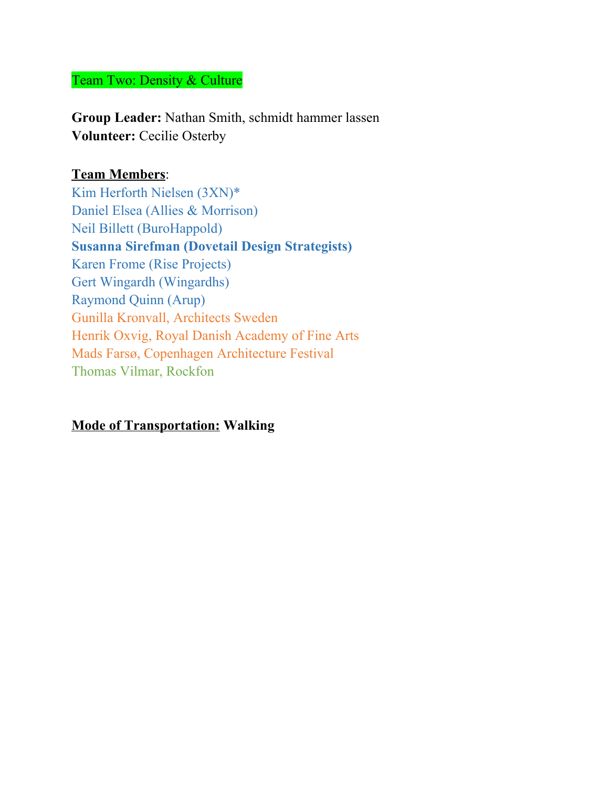## Team Two: Density & Culture

**Group Leader:** Nathan Smith, schmidt hammer lassen **Volunteer:** Cecilie Osterby

## **Team Members**:

Kim Herforth Nielsen (3XN)\* Daniel Elsea (Allies & Morrison) Neil Billett (BuroHappold) **Susanna Sirefman (Dovetail Design Strategists)** Karen Frome (Rise Projects) Gert Wingardh (Wingardhs) Raymond Quinn (Arup) Gunilla Kronvall, Architects Sweden Henrik Oxvig, Royal Danish Academy of Fine Arts Mads Farsø, Copenhagen Architecture Festival Thomas Vilmar, Rockfon

# **Mode of Transportation: Walking**